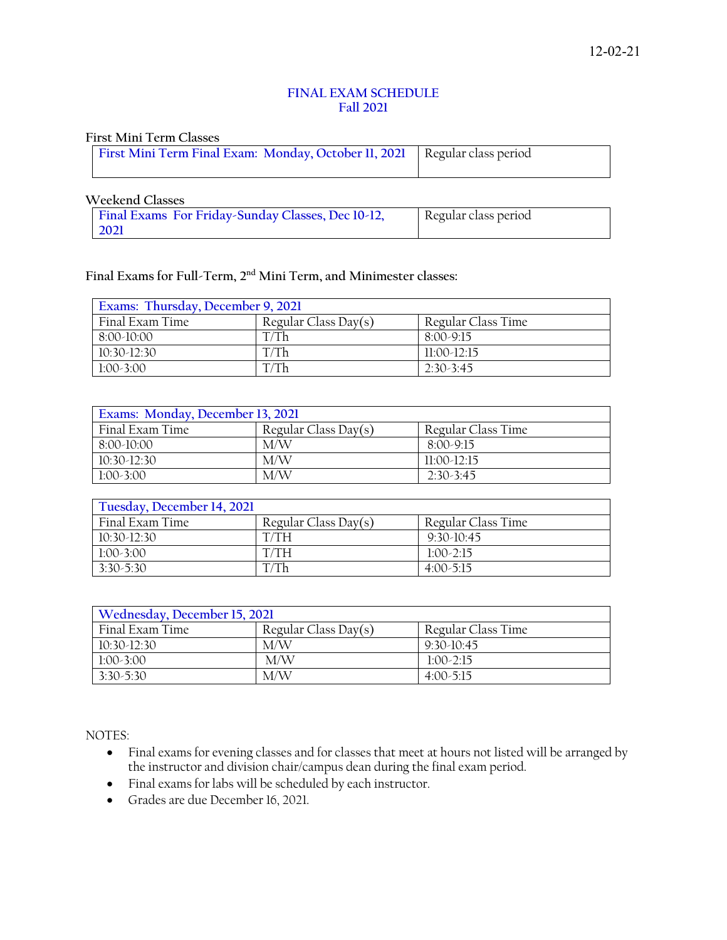## **FINAL EXAM SCHEDULE Fall 2021**

### **First Mini Term Classes**

### **Weekend Classes**

| Final Exams For Friday-Sunday Classes, Dec 10-12, | Regular class period |
|---------------------------------------------------|----------------------|
| 2021                                              |                      |

# **Final Exams for Full-Term, 2nd Mini Term, and Minimester classes:**

| Exams: Thursday, December 9, 2021 |                      |                    |  |
|-----------------------------------|----------------------|--------------------|--|
| Final Exam Time                   | Regular Class Day(s) | Regular Class Time |  |
| $8:00-10:00$                      | T/Th                 | $8:00-9:15$        |  |
| $10:30-12:30$                     | T/Th                 | $11:00-12:15$      |  |
| $1:00-3:00$                       | T/Th                 | $2:30-3:45$        |  |

| Exams: Monday, December 13, 2021 |                      |                    |  |
|----------------------------------|----------------------|--------------------|--|
| Final Exam Time                  | Regular Class Day(s) | Regular Class Time |  |
| $8:00-10:00$                     | M/W                  | 8:00-9:15          |  |
| $10:30-12:30$                    | M/W                  | $11:00-12:15$      |  |
| $1:00-3:00$                      | M/W                  | $2:30-3:45$        |  |

# **Tuesday, December 14, 2021** Final Exam Time Regular Class Day(s) Regular Class Time 10:30-12:30 T/TH 9:30-10:45 1:00-3:00 T/TH 1:00-2:15<br>3:30-5:30 T/Th 4:00-5:15 3:30-5:30 T/Th 4:00-5:15

| Wednesday, December 15, 2021 |                      |                    |
|------------------------------|----------------------|--------------------|
| Final Exam Time              | Regular Class Day(s) | Regular Class Time |
| $10:30-12:30$                | M/W                  | $9:30-10:45$       |
| $1:00-3:00$                  | M/W                  | $1:00-2:15$        |
| $3:30-5:30$                  | M/W                  | $4:00-5:15$        |

NOTES:

- Final exams for evening classes and for classes that meet at hours not listed will be arranged by the instructor and division chair/campus dean during the final exam period.
- Final exams for labs will be scheduled by each instructor.
- Grades are due December 16, 2021.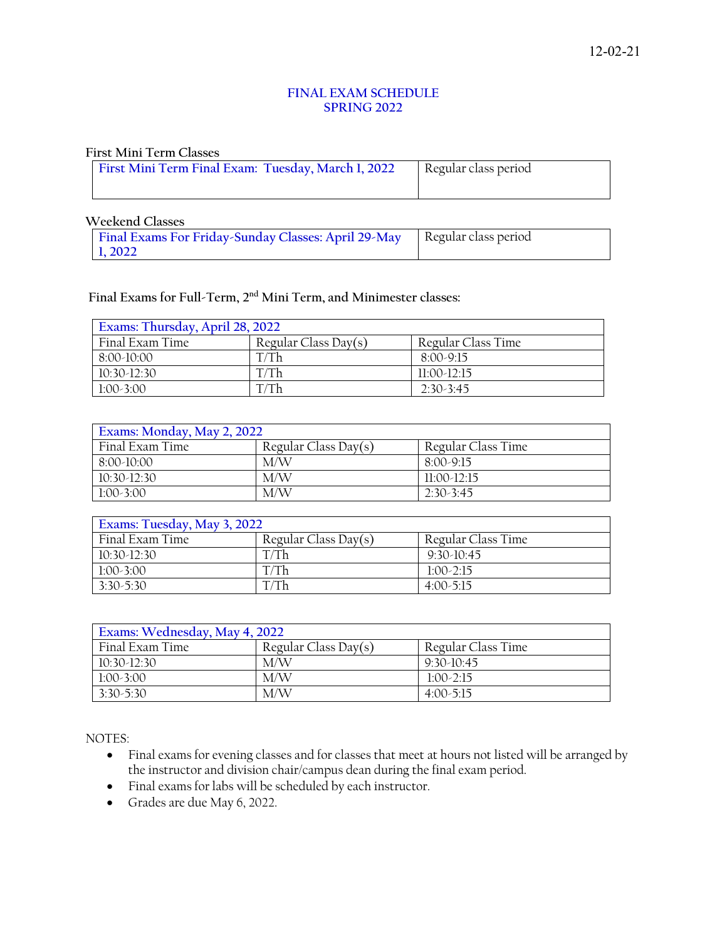## **FINAL EXAM SCHEDULE SPRING 2022**

### **First Mini Term Classes**

| First Mini Term Final Exam: Tuesday, March 1, 2022 | Regular class period |
|----------------------------------------------------|----------------------|
|                                                    |                      |

### **Weekend Classes**

| Final Exams For Friday-Sunday Classes: April 29-May   Regular class period |  |
|----------------------------------------------------------------------------|--|
| 1.2022                                                                     |  |

# **Final Exams for Full-Term, 2nd Mini Term, and Minimester classes:**

| Exams: Thursday, April 28, 2022                               |      |               |  |
|---------------------------------------------------------------|------|---------------|--|
| Regular Class Day(s)<br>Regular Class Time<br>Final Exam Time |      |               |  |
| $8:00-10:00$                                                  | T/Th | $8:00-9:15$   |  |
| $10:30-12:30$                                                 | T/Th | $11:00-12:15$ |  |
| $1:00-3:00$                                                   | T/Th | $2.30 - 3.45$ |  |

| Exams: Monday, May 2, 2022 |                      |                    |
|----------------------------|----------------------|--------------------|
| Final Exam Time            | Regular Class Day(s) | Regular Class Time |
| $8:00-10:00$               | M/W                  | $8:00-9:15$        |
| $10:30-12:30$              | M/W                  | $11:00-12:15$      |
| $1:00-3:00$                | M/W                  | $2:30-3:45$        |

| Exams: Tuesday, May 3, 2022 |                      |                    |  |
|-----------------------------|----------------------|--------------------|--|
| Final Exam Time             | Regular Class Day(s) | Regular Class Time |  |
| $10:30-12:30$               | <sup>Th</sup>        | $9:30-10:45$       |  |
| $1:00-3:00$                 | Г/Тh                 | $1:00-2:15$        |  |
| $3:30-5:30$                 |                      | $4:00-5:15$        |  |

| Exams: Wednesday, May 4, 2022 |                      |                    |
|-------------------------------|----------------------|--------------------|
| Final Exam Time               | Regular Class Day(s) | Regular Class Time |
| $10:30-12:30$                 | M/W                  | $9:30-10:45$       |
| $1:00-3:00$                   | M/W                  | $1:00-2:15$        |
| $3:30-5:30$                   | M/W                  | $4:00-5:15$        |

NOTES:

- Final exams for evening classes and for classes that meet at hours not listed will be arranged by the instructor and division chair/campus dean during the final exam period.
- Final exams for labs will be scheduled by each instructor.
- Grades are due May 6, 2022.